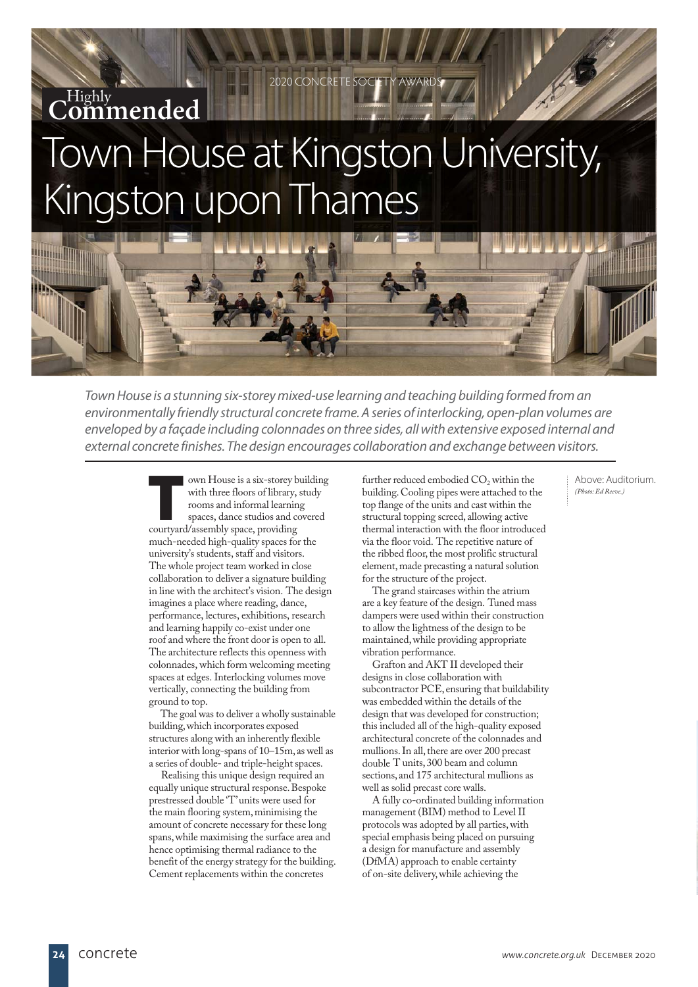# Town House at Kingston University, Kingston upon Thames Highly **Commended**

2020 CONCRETE

Town House is a stunning six-storey mixed-use learning and teaching building formed from an environmentally friendly structural concrete frame. A series of interlocking, open-plan volumes are enveloped by a façade including colonnades on three sides, all with extensive exposed internal and external concrete finishes. The design encourages collaboration and exchange between visitors.

> own House is a six-storey building with three floors of library, study rooms and informal learning spaces, dance studios and covered courtyard/assembly space, providing much-needed high-quality spaces for the university's students, staff and visitors. The whole project team worked in close collaboration to deliver a signature building in line with the architect's vision. The design imagines a place where reading, dance, performance, lectures, exhibitions, research and learning happily co-exist under one roof and where the front door is open to all. The architecture reflects this openness with colonnades, which form welcoming meeting spaces at edges. Interlocking volumes move vertically, connecting the building from ground to top.

 The goal was to deliver a wholly sustainable building, which incorporates exposed structures along with an inherently flexible interior with long-spans of 10–15m, as well as a series of double- and triple-height spaces.

 Realising this unique design required an equally unique structural response. Bespoke prestressed double 'T' units were used for the main flooring system, minimising the amount of concrete necessary for these long spans, while maximising the surface area and hence optimising thermal radiance to the benefit of the energy strategy for the building. Cement replacements within the concretes

further reduced embodied  $CO<sub>2</sub>$  within the building. Cooling pipes were attached to the top flange of the units and cast within the structural topping screed, allowing active thermal interaction with the floor introduced via the floor void. The repetitive nature of the ribbed floor, the most prolific structural element, made precasting a natural solution for the structure of the project.

The grand staircases within the atrium are a key feature of the design. Tuned mass dampers were used within their construction to allow the lightness of the design to be maintained, while providing appropriate vibration performance.

Grafton and AKT II developed their designs in close collaboration with subcontractor PCE, ensuring that buildability was embedded within the details of the design that was developed for construction; this included all of the high-quality exposed architectural concrete of the colonnades and mullions. In all, there are over 200 precast double T units, 300 beam and column sections, and 175 architectural mullions as well as solid precast core walls.

A fully co-ordinated building information management (BIM) method to Level II protocols was adopted by all parties, with special emphasis being placed on pursuing a design for manufacture and assembly (DfMA) approach to enable certainty of on-site delivery, while achieving the

Above: Auditorium. *(Photo: Ed Reeve.)*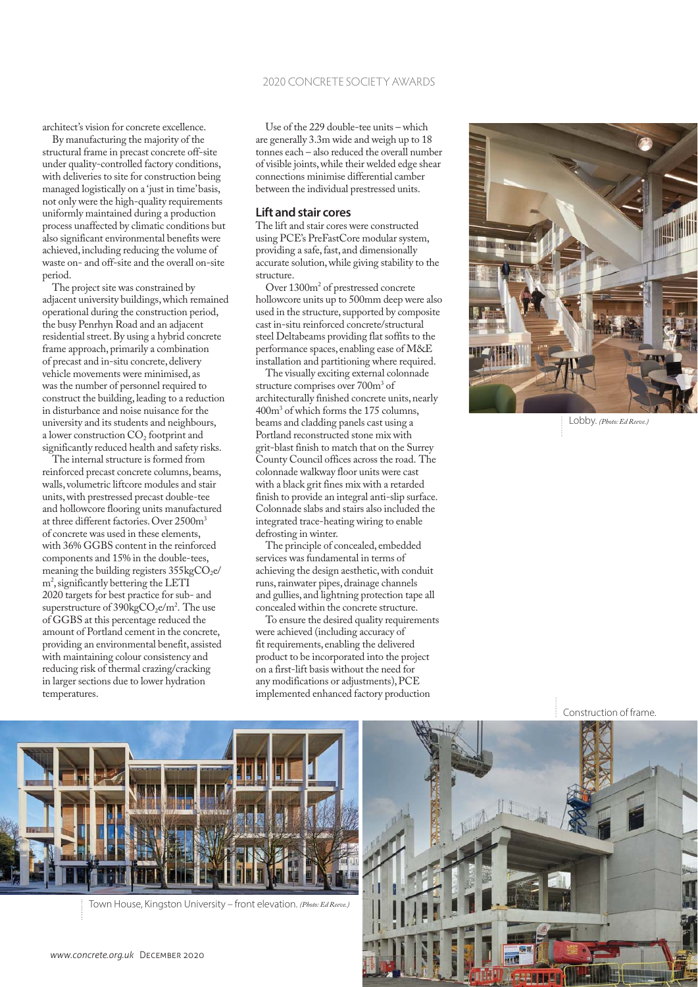architect's vision for concrete excellence.

By manufacturing the majority of the structural frame in precast concrete off-site under quality-controlled factory conditions, with deliveries to site for construction being managed logistically on a 'just in time' basis, not only were the high-quality requirements uniformly maintained during a production process unaffected by climatic conditions but also significant environmental benefits were achieved, including reducing the volume of waste on- and off-site and the overall on-site period.

The project site was constrained by adjacent university buildings, which remained operational during the construction period, the busy Penrhyn Road and an adjacent residential street. By using a hybrid concrete frame approach, primarily a combination of precast and in-situ concrete, delivery vehicle movements were minimised, as was the number of personnel required to construct the building, leading to a reduction in disturbance and noise nuisance for the university and its students and neighbours, a lower construction CO<sub>2</sub> footprint and significantly reduced health and safety risks.

The internal structure is formed from reinforced precast concrete columns, beams, walls, volumetric liftcore modules and stair units, with prestressed precast double-tee and hollowcore flooring units manufactured at three different factories. Over 2500m<sup>3</sup> of concrete was used in these elements, with 36% GGBS content in the reinforced components and 15% in the double-tees, meaning the building registers  $355kgCO<sub>2</sub>e/$ m2 , significantly bettering the LETI 2020 targets for best practice for sub- and superstructure of 390 $kgCO_2e/m^2$ . The use of GGBS at this percentage reduced the amount of Portland cement in the concrete, providing an environmental benefit, assisted with maintaining colour consistency and reducing risk of thermal crazing/cracking in larger sections due to lower hydration temperatures.

Use of the 229 double-tee units – which are generally 3.3m wide and weigh up to 18 tonnes each – also reduced the overall number of visible joints, while their welded edge shear connections minimise differential camber between the individual prestressed units.

### **Lift and stair cores**

The lift and stair cores were constructed using PCE's PreFastCore modular system, providing a safe, fast, and dimensionally accurate solution, while giving stability to the structure.

Over 1300<sub>m<sup>2</sup></sub> of prestressed concrete hollowcore units up to 500mm deep were also used in the structure, supported by composite cast in-situ reinforced concrete/structural steel Deltabeams providing flat soffits to the performance spaces, enabling ease of M&E installation and partitioning where required.

The visually exciting external colonnade structure comprises over 700m<sup>3</sup> of architecturally finished concrete units, nearly 400m3 of which forms the 175 columns, beams and cladding panels cast using a Portland reconstructed stone mix with grit-blast finish to match that on the Surrey County Council offices across the road. The colonnade walkway floor units were cast with a black grit fines mix with a retarded finish to provide an integral anti-slip surface. Colonnade slabs and stairs also included the integrated trace-heating wiring to enable defrosting in winter.

The principle of concealed, embedded services was fundamental in terms of achieving the design aesthetic, with conduit runs, rainwater pipes, drainage channels and gullies, and lightning protection tape all concealed within the concrete structure.

To ensure the desired quality requirements were achieved (including accuracy of fit requirements, enabling the delivered product to be incorporated into the project on a first-lift basis without the need for any modifications or adjustments), PCE implemented enhanced factory production



Lobby. *(Photo: Ed Reeve.)*



Town House, Kingston University – front elevation. *(Photo: Ed Reeve.)*